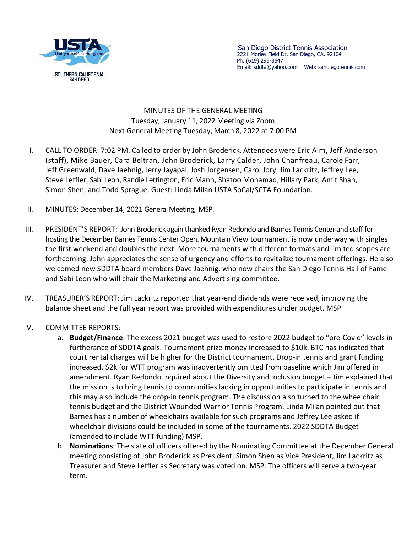

## MINUTES OF THE GENERAL MEETING Tuesday, January 11, 2022 Meeting via Zoom Next General Meeting Tuesday, March 8, 2022 at 7:00 PM

- I. CALL TO ORDER: 7:02 PM. Called to order by John Broderick. Attendees were Eric Alm, Jeff Anderson (staff), Mike Bauer, Cara Beltran, John Broderick, Larry Calder, John Chanfreau, Carole Farr, Jeff Greenwald, Dave Jaehnig, Jerry Jayapal, Josh Jorgensen, Carol Jory, Jim Lackritz, Jeffrey Lee, Steve Leffler, Sabi Leon, Randie Lettington, Eric Mann, Shatoo Mohamad, Hillary Park, Amit Shah, Simon Shen, and Todd Sprague. Guest: Linda Milan USTA SoCal/SCTA Foundation.
- II. MINUTES: December 14, 2021 General Meeting, MSP.
- III. PRESIDENT'S REPORT: John Broderick again thanked Ryan Redondo and Barnes Tennis Center and staff for hosting the December Barnes Tennis Center Open. Mountain View tournament is now underway with singles the first weekend and doubles the next. More tournaments with different formats and limited scopes are forthcoming. John appreciates the sense of urgency and efforts to revitalize tournament offerings. He also welcomed new SDDTA board members Dave Jaehnig, who now chairs the San Diego Tennis Hall of Fame and Sabi Leon who will chair the Marketing and Advertising committee.
- IV. TREASURER'S REPORT: Jim Lackritz reported that year-end dividends were received, improving the balance sheet and the full year report was provided with expenditures under budget. MSP
- V. COMMITTEE REPORTS:
	- a. **Budget/Finance**: The excess 2021 budget was used to restore 2022 budget to "pre-Covid" levels in furtherance of SDDTA goals. Tournament prize money increased to \$10k. BTC has indicated that court rental charges will be higher for the District tournament. Drop-in tennis and grant funding increased. \$2k for WTT program was inadvertently omitted from baseline which Jim offered in amendment. Ryan Redondo inquired about the Diversity and Inclusion budget – Jim explained that the mission is to bring tennis to communities lacking in opportunities to participate in tennis and this may also include the drop-in tennis program. The discussion also turned to the wheelchair tennis budget and the District Wounded Warrior Tennis Program. Linda Milan pointed out that Barnes has a number of wheelchairs available for such programs and Jeffrey Lee asked if wheelchair divisions could be included in some of the tournaments. 2022 SDDTA Budget (amended to include WTT funding) MSP.
	- b. **Nominations**: The slate of officers offered by the Nominating Committee at the December General meeting consisting of John Broderick as President, Simon Shen as Vice President, Jim Lackritz as Treasurer and Steve Leffler as Secretary was voted on. MSP. The officers will serve a two-year term.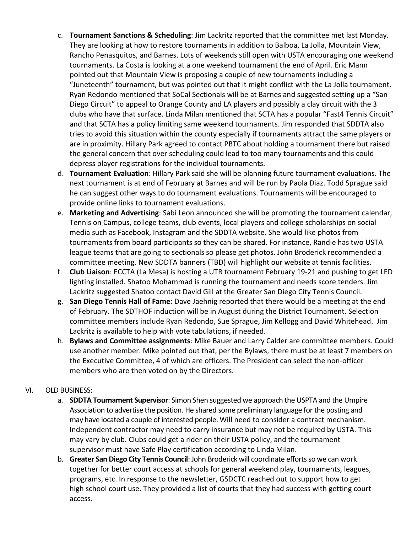- c. **Tournament Sanctions & Scheduling**: Jim Lackritz reported that the committee met last Monday. They are looking at how to restore tournaments in addition to Balboa, La Jolla, Mountain View, Rancho Penasquitos, and Barnes. Lots of weekends still open with USTA encouraging one weekend tournaments. La Costa is looking at a one weekend tournament the end of April. Eric Mann pointed out that Mountain View is proposing a couple of new tournaments including a "Juneteenth" tournament, but was pointed out that it might conflict with the La Jolla tournament. Ryan Redondo mentioned that SoCal Sectionals will be at Barnes and suggested setting up a "San Diego Circuit" to appeal to Orange County and LA players and possibly a clay circuit with the 3 clubs who have that surface. Linda Milan mentioned that SCTA has a popular "Fast4 Tennis Circuit" and that SCTA has a policy limiting same weekend tournaments. Jim responded that SDDTA also tries to avoid this situation within the county especially if tournaments attract the same players or are in proximity. Hillary Park agreed to contact PBTC about holding a tournament there but raised the general concern that over scheduling could lead to too many tournaments and this could depress player registrations for the individual tournaments.
- d. **Tournament Evaluation**: Hillary Park said she will be planning future tournament evaluations. The next tournament is at end of February at Barnes and will be run by Paola Diaz. Todd Sprague said he can suggest other ways to do tournament evaluations. Tournaments will be encouraged to provide online links to tournament evaluations.
- e. **Marketing and Advertising**: Sabi Leon announced she will be promoting the tournament calendar, Tennis on Campus, college teams, club events, local players and college scholarships on social media such as Facebook, Instagram and the SDDTA website. She would like photos from tournaments from board participants so they can be shared. For instance, Randie has two USTA league teams that are going to sectionals so please get photos. John Broderick recommended a committee meeting. New SDDTA banners (TBD) will highlight our website at tennis facilities.
- f. **Club Liaison**: ECCTA (La Mesa) is hosting a UTR tournament February 19-21 and pushing to get LED lighting installed. Shatoo Mohammad is running the tournament and needs score tenders. Jim Lackritz suggested Shatoo contact David Gill at the Greater San Diego City Tennis Council.
- g. **San Diego Tennis Hall of Fame**: Dave Jaehnig reported that there would be a meeting at the end of February. The SDTHOF induction will be in August during the District Tournament. Selection committee members include Ryan Redondo, Sue Sprague, Jim Kellogg and David Whitehead. Jim Lackritz is available to help with vote tabulations, if needed.
- h. **Bylaws and Committee assignments**: Mike Bauer and Larry Calder are committee members. Could use another member. Mike pointed out that, per the Bylaws, there must be at least 7 members on the Executive Committee, 4 of which are officers. The President can select the non-officer members who are then voted on by the Directors.

## VI. OLD BUSINESS:

- a. **SDDTA Tournament Supervisor**: Simon Shen suggested we approach the USPTA and the Umpire Association to advertise the position. He shared some preliminary language for the posting and may have located a couple of interested people. Will need to consider a contract mechanism. Independent contractor may need to carry insurance but may not be required by USTA. This may vary by club. Clubs could get a rider on their USTA policy, and the tournament supervisor must have Safe Play certification according to Linda Milan.
- b. **Greater San Diego City Tennis Council**: John Broderick will coordinate efforts so we can work together for better court access at schools for general weekend play, tournaments, leagues, programs, etc. In response to the newsletter, GSDCTC reached out to support how to get high school court use. They provided a list of courts that they had success with getting court access.